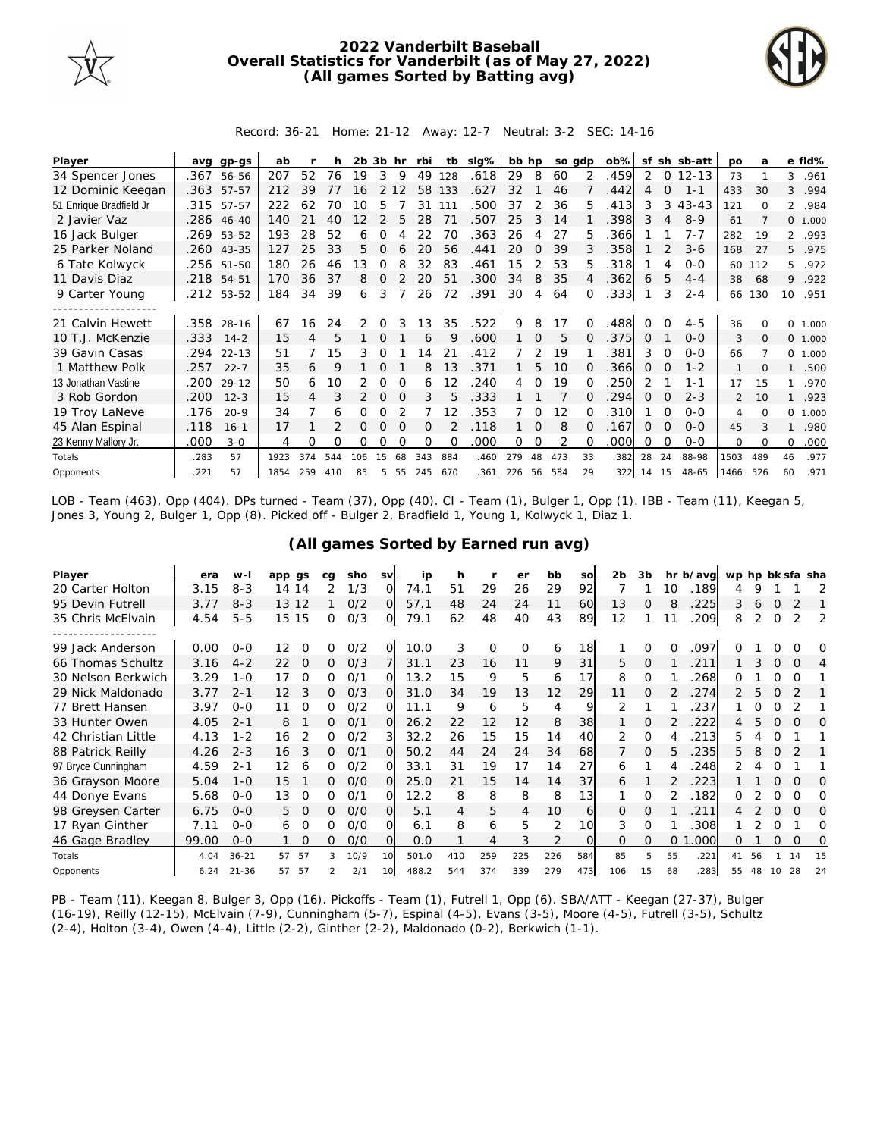

## **2022 Vanderbilt Baseball Overall Statistics for Vanderbilt (as of May 27, 2022) (All games Sorted by Batting avg)**



Record: 36-21 Home: 21-12 Away: 12-7 Neutral: 3-2 SEC: 14-16

| Player                                     | ava  | $qp-gs$    | ab   |     |     | $2b$ $3b$ |               | hr       | rbi      | tb       | slg% | bb hp |          | so adp |          | ob%  | sf             |          | sh sb-att | <b>DO</b>      | a        |                | e fld%   |
|--------------------------------------------|------|------------|------|-----|-----|-----------|---------------|----------|----------|----------|------|-------|----------|--------|----------|------|----------------|----------|-----------|----------------|----------|----------------|----------|
| 34 Spencer Jones                           | .367 | 56-56      | 207  | 52  | 76  | 19        | 3             | 9        | 49       | 128      | .618 | 29    | 8        | 60     | 2        | .459 | 2              | $\circ$  | $12 - 13$ | 73             |          | 3              | .961     |
| 12 Dominic Keegan                          |      | .363 57-57 | 212  | 39  |     | 16        |               | 12       | 58       | 133      | .627 | 32    |          | 46     |          | .442 | 4              | $\Omega$ | $1 - 1$   | 433            | 30       | 3              | .994     |
| 51 Enrique Bradfield Jr                    | .315 | 57-57      | 222  | 62  | 70  | 10        | 5             |          | 31       | 111      | .500 | 37    | 2        | 36     | 5        | 413  | 3              | 3        | $43 - 43$ | 121            | $\Omega$ | $\overline{2}$ | .984     |
| 2 Javier Vaz                               |      | .286 46-40 | 140  | 21  | 40  | 12        | $\mathcal{P}$ | 5        | 28       | 71       | .507 | 25    | 3        | 14     |          | .398 | 3              | 4        | $8 - 9$   | 61             |          |                | 0 1.000  |
| 16 Jack Bulger                             |      | .269 53-52 | 193  | 28  | 52  | 6         | Ω             |          | 22       | 70       | .363 | 26    | 4        | 27     | 5.       | .366 |                |          | $7 - 7$   | 282            | 19       |                | 2 .993   |
| 25 Parker Noland                           | .260 | 43-35      | 127  | 25  | 33  | 5.        | $\Omega$      |          | 20       | 56       | .441 | 20    | 0        | 39     | 3        | .358 |                |          | $3 - 6$   | 168            | 27       | 5              | .975     |
| 6 Tate Kolwyck                             |      | .256 51-50 | 180  | 26  | 46  | 13        | 0             | 8        | 32       | 83       | .461 | 15    | 2        | 53     | 5.       | .318 |                | 4        | $O-O$     | 60             | 112      | 5              | .972     |
| 11 Davis Diaz                              |      | .218 54-51 | 170  | 36  | 37  | 8         | 0             |          | 20       | 51       | .300 | 34    | 8        | 35     |          | .362 | 6              | 5        | $4 - 4$   | 38             | 68       | 9              | .922     |
| 9 Carter Young                             | .212 | 53-52      | 184  | 34  | 39  | 6         | 3             |          | 26       | 72       | .391 | 30    | 4        | 64     | $\Omega$ | .333 |                | 3        | $2 - 4$   | 66             | 130      | 10             | .951     |
| . <u>- - - - - - - - - - - - - - - -</u> - |      |            |      |     |     |           |               |          |          |          |      |       |          |        |          |      |                |          |           |                |          |                |          |
| 21 Calvin Hewett                           |      | .358 28-16 | 67   | 16  | 24  | 2         | $\Omega$      |          | 13       | 35       | .522 | 9     | 8        | 17     |          | 488  |                |          | $4 - 5$   | 36             |          | <sup>o</sup>   | 1.000    |
| 10 T.J. McKenzie                           | .333 | $14 - 2$   | 15   | 4   | 5   |           | $\Omega$      |          | 6        | Q        | .600 |       | 0        | 5      |          | .375 | $\Omega$       |          | $O-O$     | 3              | $\Omega$ |                | 0 1.000  |
| 39 Gavin Casas                             | .294 | $22 - 13$  | 51   |     | 15  | 3         | 0             |          | 4        | 21       | .412 |       |          | 19     |          | 381  | 3              | $\Omega$ | $O - O$   | 66             |          |                | 0, 1,000 |
| 1 Matthew Polk                             | .257 | $22 - 7$   | 35   | 6   | 9   |           | $\Omega$      |          | 8        | 13       | .371 |       | 5        | 10     |          | .366 | 0              | $\Omega$ | $1 - 2$   |                | $\Omega$ |                | .500     |
| 13 Jonathan Vastine                        | .200 | $29-12$    | 50   | 6   | 10  |           | 0             |          | 6        | 12       | 240  | 4     | $\Omega$ | 19     |          | .250 | $\overline{2}$ |          | 1-1       | 17             | 15       |                | .970     |
| 3 Rob Gordon                               | .200 | $12 - 3$   | 15   | 4   |     |           | $\Omega$      | $\Omega$ | 3        | 5        | .333 |       |          |        |          | 294  | $\Omega$       |          | $2 - 3$   | $\overline{2}$ | 10       |                | .923     |
| 19 Troy LaNeve                             | .176 | $20 - 9$   | 34   |     | 6   | Ω         | Ω             |          |          | 12       | .353 |       | 0        | 12     |          | 310  |                |          | $O - O$   | 4              | $\Omega$ | $\Omega$       | 1.000    |
| 45 Alan Espinal                            | .118 | $16 - 1$   | 17   |     |     | 0         | $\Omega$      | $\Omega$ | $\Omega$ |          | .118 |       | $\Omega$ | 8      | $\Omega$ | .167 | 0              | $\Omega$ | $O-O$     | 45             |          |                | .980     |
| 23 Kenny Mallory Jr.                       | .000 | $3 - 0$    | 4    | O   | Ω   | Ω         | Ω             |          | $\Omega$ | $\Omega$ | .000 | 0     | 0        | 2      |          | .000 | Ω              | ∩        | $O-O$     | $\Omega$       | $\Omega$ | 0              | .000     |
| Totals                                     | .283 | 57         | 1923 | 374 | 544 | 106       | 15            | 68       | 343      | 884      | .460 | 279   | 48       | 473    | 33       | .382 | 28             | 24       | 88-98     | 1503           | 489      | 46             | .977     |
| Opponents                                  | .221 | 57         | 1854 | 259 | 410 | 85        | 5             | 55       | 245      | 670      | .361 | 226   | 56       | 584    | 29       | .322 | 14             | 15       | 48-65     | 1466           | 526      | 60             | .971     |

LOB - Team (463), Opp (404). DPs turned - Team (37), Opp (40). CI - Team (1), Bulger 1, Opp (1). IBB - Team (11), Keegan 5, Jones 3, Young 2, Bulger 1, Opp (8). Picked off - Bulger 2, Bradfield 1, Young 1, Kolwyck 1, Diaz 1.

| Player              | era   | $W -$     | app gs            | ca            | sho  | <b>SV</b> | ip    | h   |     | er       | bb             | SO       | 2 <sub>b</sub> | 3b          |          | hr b/avg | wp hp bk sfa sha |    |          |          |          |
|---------------------|-------|-----------|-------------------|---------------|------|-----------|-------|-----|-----|----------|----------------|----------|----------------|-------------|----------|----------|------------------|----|----------|----------|----------|
| 20 Carter Holton    | 3.15  | $8 - 3$   | 14<br>14          | 2             | 1/3  | O         | 74.1  | 51  | 29  | 26       | 29             | 92       |                |             | 10       | 189      | 4                | 9  |          |          |          |
| 95 Devin Futrell    | 3.77  | $8 - 3$   | 12<br>13          |               | O/2  | Ω         | 57.1  | 48  | 24  | 24       | 11             | 60       | 13             | 0           | 8        | 225      | 3                | 6  | O        |          |          |
| 35 Chris McElvain   | 4.54  | $5 - 5$   | 15<br>15          | 0             | O/3  | O         | 79.1  | 62  | 48  | 40       | 43             | 89       | 12             |             |          | .209     | 8                |    | 0        |          | 2        |
|                     |       |           |                   |               |      |           |       |     |     |          |                |          |                |             |          |          |                  |    |          |          |          |
| 99 Jack Anderson    | 0.00  | $O - O$   | 12<br>O           | 0             | O/2  | Ω         | 10.0  | 3   | 0   | $\Omega$ | 6              | 18       |                | $\Omega$    | ∩        | .097     |                  |    |          | ∩        | Ω        |
| 66 Thomas Schultz   | 3.16  | $4 - 2$   | 22<br>$\mathbf 0$ | 0             | O/3  |           | 31.1  | 23  | 16  | 11       | 9              | 31       | 5              | $\mathbf 0$ |          | 211      |                  | 3  | 0        | $\Omega$ | 4        |
| 30 Nelson Berkwich  | 3.29  | $1 - 0$   | 17<br>O           | 0             | O/1  | Ω         | 13.2  | 15  | 9   | 5        | 6              | 17       | 8              | $\Omega$    |          | 268      | O                |    | Ω        | Ω        |          |
| 29 Nick Maldonado   | 3.77  | $2 - 1$   | $12 \overline{ }$ | 0             | O/3  | $\Omega$  | 31.0  | 34  | 19  | 13       | 12             | 29       | 11             | $\Omega$    |          | .274     | 2                | 5  | O        |          |          |
| 77 Brett Hansen     | 3.97  | $O - O$   | $\Omega$<br>11    | 0             | O/2  | Ω         | 11.1  | 9   | 6   | 5        | 4              | 9        | 2              |             |          | 237      |                  |    | ∩        |          |          |
| 33 Hunter Owen      | 4.05  | $2 - 1$   | 8                 | 0             | O/1  | $\Omega$  | 26.2  | 22  | 12  | 12       | 8              | 38       |                | $\Omega$    |          | 222      | 4                | 5  | O        | $\Omega$ | $\Omega$ |
| 42 Christian Little | 4.13  | $1 - 2$   | 2<br>16           | 0             | O/2  |           | 32.2  | 26  | 15  | 15       | 14             | 40       | 2              | $\Omega$    |          | 213      | 5.               |    | O        |          |          |
| 88 Patrick Reilly   | 4.26  | $2 - 3$   | 16                | 0             | O/1  | O         | 50.2  | 44  | 24  | 24       | 34             | 68       |                | $\Omega$    | 5        | 235      | 5.               | 8  | 0        |          |          |
| 97 Bryce Cunningham | 4.59  | $2 - 1$   | 12<br>6           | 0             | O/2  | Ω         | 33.1  | 31  | 19  | 17       | 14             | 27       | 6              |             |          | 248      |                  |    | O        |          |          |
| 36 Grayson Moore    | 5.04  | $1 - 0$   | 15                | 0             | O/O  | $\Omega$  | 25.0  | 21  | 15  | 14       | 14             | 37       | 6              |             |          | 223      |                  |    | Ω        | O        | O        |
| 44 Donye Evans      | 5.68  | $0 - 0$   | 13<br>0           | Ω             | 0/1  | Ω         | 12.2  | 8   | 8   | 8        | 8              | 13       |                | 0           |          | .182     | Ω                |    | O        | O        | O        |
| 98 Greysen Carter   | 6.75  | $O - O$   | $\Omega$<br>5.    | 0             | O/O  | O.        | 5.1   | 4   | 5   | 4        | 10             | 61       | $\Omega$       | $\Omega$    |          | 211      |                  |    | $\Omega$ | O        | $\Omega$ |
| 17 Ryan Ginther     | 7.11  | $0 - 0$   | O<br>6            | Ω             | O/O  | Ω         | 6.1   | 8   | 6   | 5        | 2              | 10       | 3              | $\Omega$    |          | 308      |                  |    | O        |          | O        |
| 46 Gage Bradley     | 99.00 | $0 - 0$   | $\Omega$          | 0             | O/O  | $\Omega$  | 0.0   |     | 4   | 3        | $\overline{2}$ | $\Omega$ | $\Omega$       | $\Omega$    | $\Omega$ | .000     | O                |    | O        | $\Omega$ | O        |
| Totals              | 4.04  | $36 - 21$ | -57<br>57         | 3             | 10/9 | 10        | 501.0 | 410 | 259 | 225      | 226            | 584      | 85             | 5           | 55       | .221     | 41               | 56 |          | 14       | 15       |
| Opponents           | 6.24  | $21 - 36$ | 57<br>57          | $\mathcal{P}$ | 2/1  | 10        | 488.2 | 544 | 374 | 339      | 279            | 473      | 106            | 15          | 68       | 283      | 55               | 48 | 10       | 28       | 24       |

**(All games Sorted by Earned run avg)**

PB - Team (11), Keegan 8, Bulger 3, Opp (16). Pickoffs - Team (1), Futrell 1, Opp (6). SBA/ATT - Keegan (27-37), Bulger (16-19), Reilly (12-15), McElvain (7-9), Cunningham (5-7), Espinal (4-5), Evans (3-5), Moore (4-5), Futrell (3-5), Schultz (2-4), Holton (3-4), Owen (4-4), Little (2-2), Ginther (2-2), Maldonado (0-2), Berkwich (1-1).